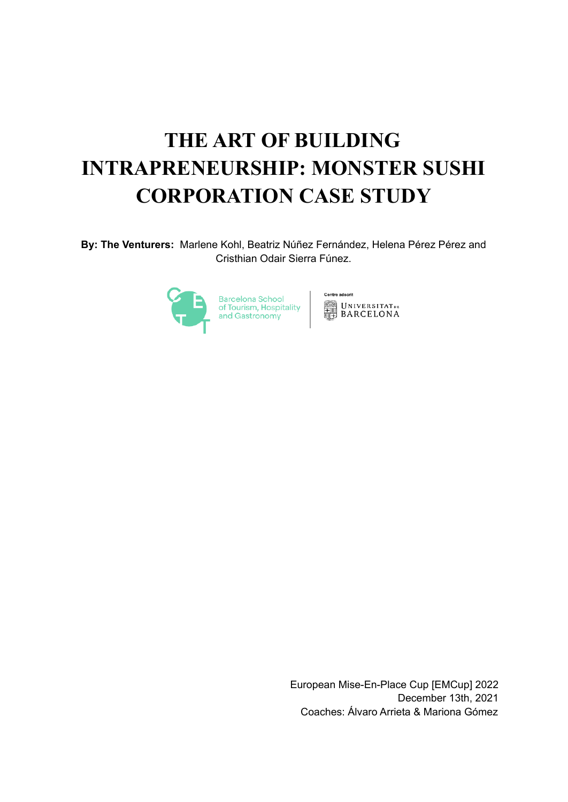# **THE ART OF BUILDING INTRAPRENEURSHIP: MONSTER SUSHI CORPORATION CASE STUDY**

**By: The Venturers:** Marlene Kohl, Beatriz Núñez Fernández, Helena Pérez Pérez and Cristhian Odair Sierra Fúnez.



**Centre adscrit** UNIVERSITAT<sub>DE</sub>

European Mise-En-Place Cup [EMCup] 2022 December 13th, 2021 Coaches: Álvaro Arrieta & Mariona Gómez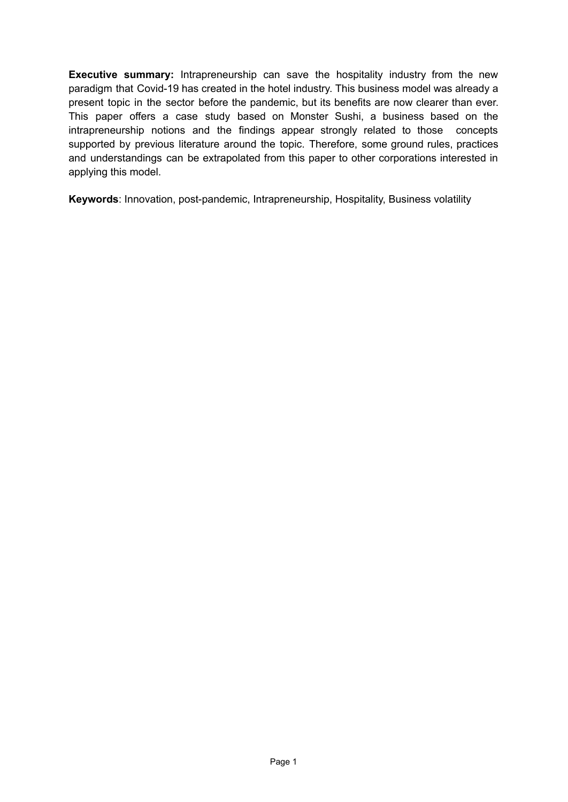**Executive summary:** Intrapreneurship can save the hospitality industry from the new paradigm that Covid-19 has created in the hotel industry. This business model was already a present topic in the sector before the pandemic, but its benefits are now clearer than ever. This paper offers a case study based on Monster Sushi, a business based on the intrapreneurship notions and the findings appear strongly related to those concepts supported by previous literature around the topic. Therefore, some ground rules, practices and understandings can be extrapolated from this paper to other corporations interested in applying this model.

**Keywords**: Innovation, post-pandemic, Intrapreneurship, Hospitality, Business volatility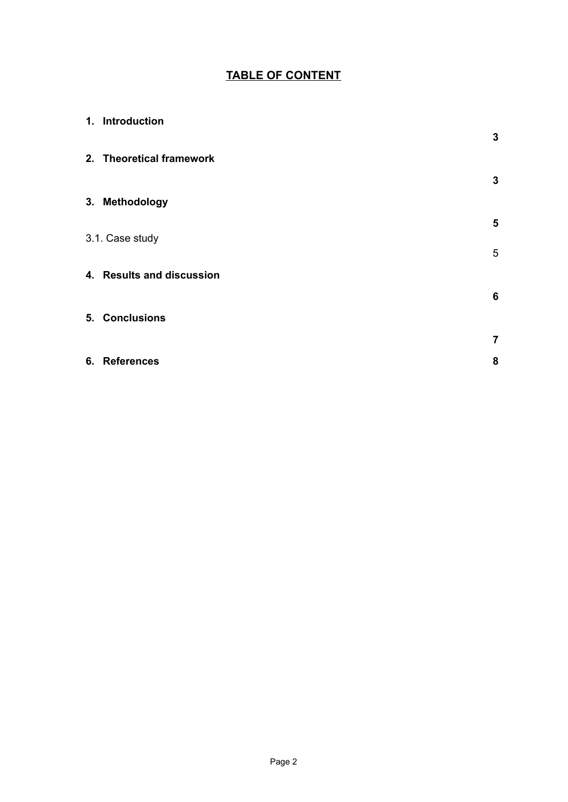# **TABLE OF CONTENT**

| 1. Introduction           | $\mathbf 3$    |
|---------------------------|----------------|
| 2. Theoretical framework  | $\mathbf 3$    |
| 3. Methodology            |                |
| 3.1. Case study           | 5              |
|                           | $\sqrt{5}$     |
| 4. Results and discussion |                |
| 5. Conclusions            | $\bf 6$        |
|                           | $\overline{7}$ |
| 6. References             | 8              |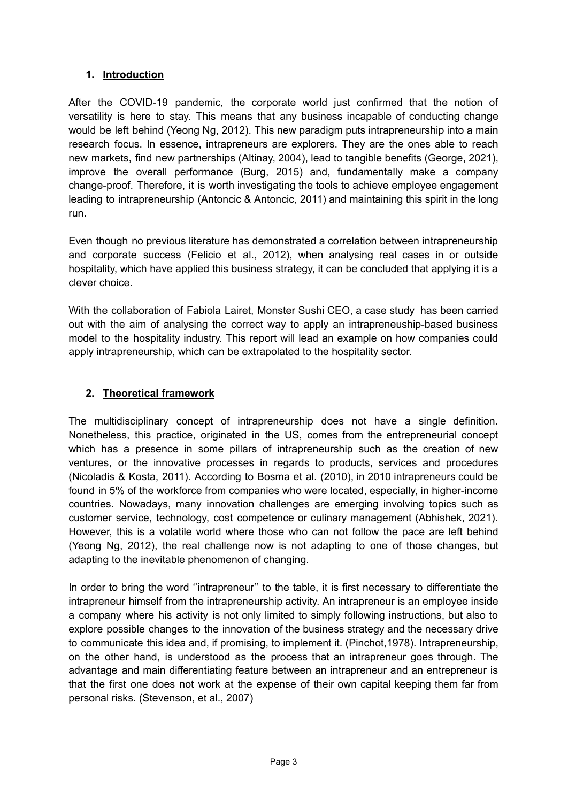#### <span id="page-3-0"></span>**1. Introduction**

After the COVID-19 pandemic, the corporate world just confirmed that the notion of versatility is here to stay. This means that any business incapable of conducting change would be left behind (Yeong Ng, 2012). This new paradigm puts intrapreneurship into a main research focus. In essence, intrapreneurs are explorers. They are the ones able to reach new markets, find new partnerships (Altinay, 2004), lead to tangible benefits (George, 2021), improve the overall performance (Burg, 2015) and, fundamentally make a company change-proof. Therefore, it is worth investigating the tools to achieve employee engagement leading to intrapreneurship (Antoncic & Antoncic, 2011) and maintaining this spirit in the long run.

Even though no previous literature has demonstrated a correlation between intrapreneurship and corporate success (Felicio et al., 2012), when analysing real cases in or outside hospitality, which have applied this business strategy, it can be concluded that applying it is a clever choice.

With the collaboration of Fabiola Lairet, Monster Sushi CEO, a case study has been carried out with the aim of analysing the correct way to apply an intrapreneuship-based business model to the hospitality industry. This report will lead an example on how companies could apply intrapreneurship, which can be extrapolated to the hospitality sector.

### <span id="page-3-1"></span>**2. Theoretical framework**

The multidisciplinary concept of intrapreneurship does not have a single definition. Nonetheless, this practice, originated in the US, comes from the entrepreneurial concept which has a presence in some pillars of intrapreneurship such as the creation of new ventures, or the innovative processes in regards to products, services and procedures (Nicoladis & Kosta, 2011). According to Bosma et al. (2010), in 2010 intrapreneurs could be found in 5% of the workforce from companies who were located, especially, in higher-income countries. Nowadays, many innovation challenges are emerging involving topics such as customer service, technology, cost competence or culinary management (Abhishek, 2021). However, this is a volatile world where those who can not follow the pace are left behind (Yeong Ng, 2012), the real challenge now is not adapting to one of those changes, but adapting to the inevitable phenomenon of changing.

In order to bring the word ''intrapreneur'' to the table, it is first necessary to differentiate the intrapreneur himself from the intrapreneurship activity. An intrapreneur is an employee inside a company where his activity is not only limited to simply following instructions, but also to explore possible changes to the innovation of the business strategy and the necessary drive to communicate this idea and, if promising, to implement it. (Pinchot,1978). Intrapreneurship, on the other hand, is understood as the process that an intrapreneur goes through. The advantage and main differentiating feature between an intrapreneur and an entrepreneur is that the first one does not work at the expense of their own capital keeping them far from personal risks. (Stevenson, et al., 2007)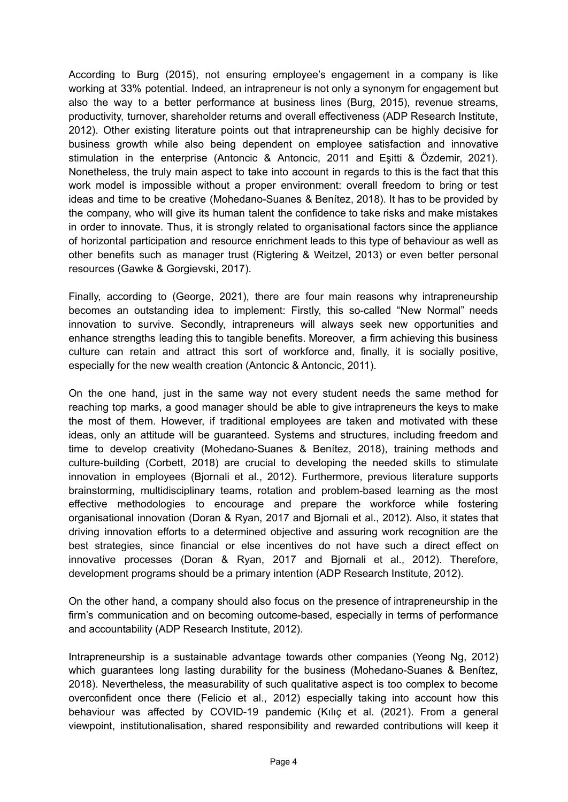According to Burg (2015), not ensuring employee's engagement in a company is like working at 33% potential. Indeed, an intrapreneur is not only a synonym for engagement but also the way to a better performance at business lines (Burg, 2015), revenue streams, productivity, turnover, shareholder returns and overall effectiveness (ADP Research Institute, 2012). Other existing literature points out that intrapreneurship can be highly decisive for business growth while also being dependent on employee satisfaction and innovative stimulation in the enterprise (Antoncic & Antoncic, 2011 and Eşitti & Özdemir, 2021). Nonetheless, the truly main aspect to take into account in regards to this is the fact that this work model is impossible without a proper environment: overall freedom to bring or test ideas and time to be creative (Mohedano-Suanes & Benítez, 2018). It has to be provided by the company, who will give its human talent the confidence to take risks and make mistakes in order to innovate. Thus, it is strongly related to organisational factors since the appliance of horizontal participation and resource enrichment leads to this type of behaviour as well as other benefits such as manager trust (Rigtering & Weitzel, 2013) or even better personal resources (Gawke & Gorgievski, 2017).

Finally, according to (George, 2021), there are four main reasons why intrapreneurship becomes an outstanding idea to implement: Firstly, this so-called "New Normal" needs innovation to survive. Secondly, intrapreneurs will always seek new opportunities and enhance strengths leading this to tangible benefits. Moreover, a firm achieving this business culture can retain and attract this sort of workforce and, finally, it is socially positive, especially for the new wealth creation (Antoncic & Antoncic, 2011).

On the one hand, just in the same way not every student needs the same method for reaching top marks, a good manager should be able to give intrapreneurs the keys to make the most of them. However, if traditional employees are taken and motivated with these ideas, only an attitude will be guaranteed. Systems and structures, including freedom and time to develop creativity (Mohedano-Suanes & Benítez, 2018), training methods and culture-building (Corbett, 2018) are crucial to developing the needed skills to stimulate innovation in employees (Bjornali et al., 2012). Furthermore, previous literature supports brainstorming, multidisciplinary teams, rotation and problem-based learning as the most effective methodologies to encourage and prepare the workforce while fostering organisational innovation (Doran & Ryan, 2017 and Bjornali et al., 2012). Also, it states that driving innovation efforts to a determined objective and assuring work recognition are the best strategies, since financial or else incentives do not have such a direct effect on innovative processes (Doran & Ryan, 2017 and Bjornali et al., 2012). Therefore, development programs should be a primary intention (ADP Research Institute, 2012).

On the other hand, a company should also focus on the presence of intrapreneurship in the firm's communication and on becoming outcome-based, especially in terms of performance and accountability (ADP Research Institute, 2012).

Intrapreneurship is a sustainable advantage towards other companies (Yeong Ng, 2012) which guarantees long lasting durability for the business (Mohedano-Suanes & Benítez, 2018). Nevertheless, the measurability of such qualitative aspect is too complex to become overconfident once there (Felicio et al., 2012) especially taking into account how this behaviour was affected by COVID-19 pandemic (Kılıç et al. (2021). From a general viewpoint, institutionalisation, shared responsibility and rewarded contributions will keep it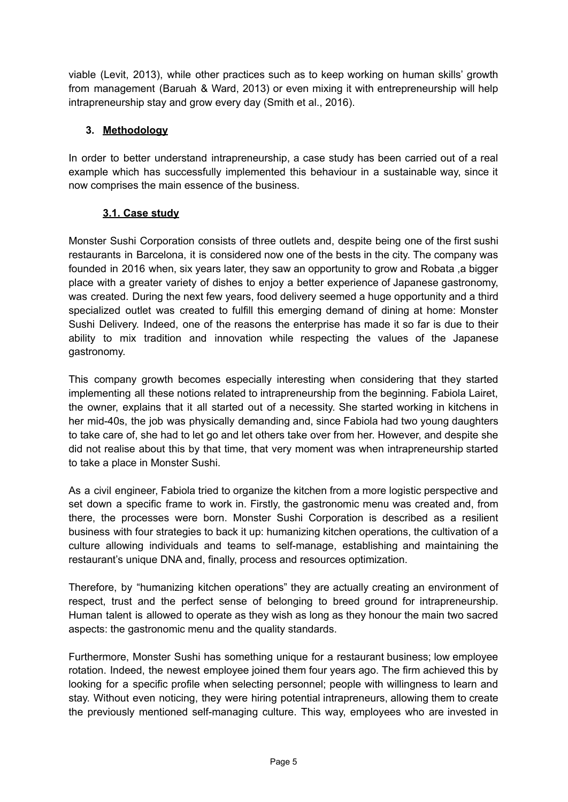viable (Levit, 2013), while other practices such as to keep working on human skills' growth from management (Baruah & Ward, 2013) or even mixing it with entrepreneurship will help intrapreneurship stay and grow every day (Smith et al., 2016).

# <span id="page-5-0"></span>**3. Methodology**

In order to better understand intrapreneurship, a case study has been carried out of a real example which has successfully implemented this behaviour in a sustainable way, since it now comprises the main essence of the business.

# **3.1. Case study**

<span id="page-5-1"></span>Monster Sushi Corporation consists of three outlets and, despite being one of the first sushi restaurants in Barcelona, it is considered now one of the bests in the city. The company was founded in 2016 when, six years later, they saw an opportunity to grow and Robata ,a bigger place with a greater variety of dishes to enjoy a better experience of Japanese gastronomy, was created. During the next few years, food delivery seemed a huge opportunity and a third specialized outlet was created to fulfill this emerging demand of dining at home: Monster Sushi Delivery. Indeed, one of the reasons the enterprise has made it so far is due to their ability to mix tradition and innovation while respecting the values of the Japanese gastronomy.

This company growth becomes especially interesting when considering that they started implementing all these notions related to intrapreneurship from the beginning. Fabiola Lairet, the owner, explains that it all started out of a necessity. She started working in kitchens in her mid-40s, the job was physically demanding and, since Fabiola had two young daughters to take care of, she had to let go and let others take over from her. However, and despite she did not realise about this by that time, that very moment was when intrapreneurship started to take a place in Monster Sushi.

As a civil engineer, Fabiola tried to organize the kitchen from a more logistic perspective and set down a specific frame to work in. Firstly, the gastronomic menu was created and, from there, the processes were born. Monster Sushi Corporation is described as a resilient business with four strategies to back it up: humanizing kitchen operations, the cultivation of a culture allowing individuals and teams to self-manage, establishing and maintaining the restaurant's unique DNA and, finally, process and resources optimization.

Therefore, by "humanizing kitchen operations" they are actually creating an environment of respect, trust and the perfect sense of belonging to breed ground for intrapreneurship. Human talent is allowed to operate as they wish as long as they honour the main two sacred aspects: the gastronomic menu and the quality standards.

Furthermore, Monster Sushi has something unique for a restaurant business; low employee rotation. Indeed, the newest employee joined them four years ago. The firm achieved this by looking for a specific profile when selecting personnel; people with willingness to learn and stay. Without even noticing, they were hiring potential intrapreneurs, allowing them to create the previously mentioned self-managing culture. This way, employees who are invested in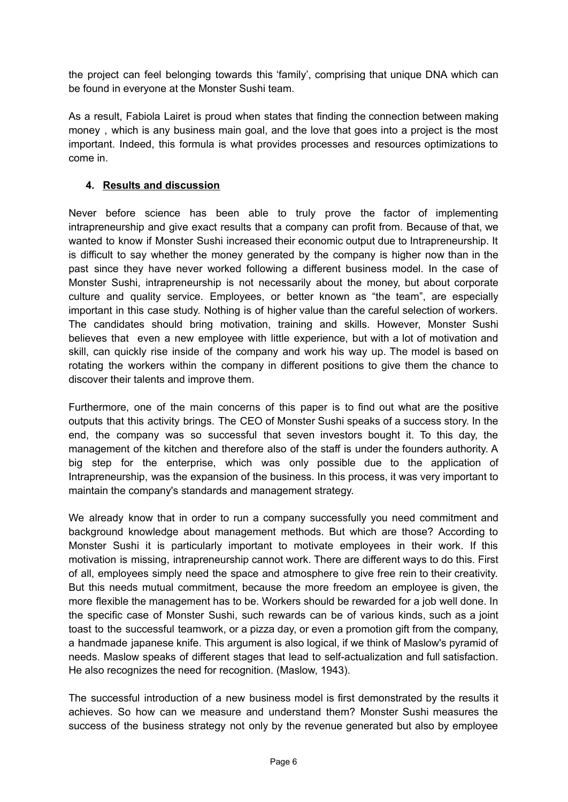the project can feel belonging towards this 'family', comprising that unique DNA which can be found in everyone at the Monster Sushi team.

As a result, Fabiola Lairet is proud when states that finding the connection between making money, which is any business main goal, and the love that goes into a project is the most important. Indeed, this formula is what provides processes and resources optimizations to come in.

### <span id="page-6-0"></span>**4. Results and discussion**

Never before science has been able to truly prove the factor of implementing intrapreneurship and give exact results that a company can profit from. Because of that, we wanted to know if Monster Sushi increased their economic output due to Intrapreneurship. It is difficult to say whether the money generated by the company is higher now than in the past since they have never worked following a different business model. In the case of Monster Sushi, intrapreneurship is not necessarily about the money, but about corporate culture and quality service. Employees, or better known as "the team", are especially important in this case study. Nothing is of higher value than the careful selection of workers. The candidates should bring motivation, training and skills. However, Monster Sushi believes that even a new employee with little experience, but with a lot of motivation and skill, can quickly rise inside of the company and work his way up. The model is based on rotating the workers within the company in different positions to give them the chance to discover their talents and improve them.

Furthermore, one of the main concerns of this paper is to find out what are the positive outputs that this activity brings. The CEO of Monster Sushi speaks of a success story. In the end, the company was so successful that seven investors bought it. To this day, the management of the kitchen and therefore also of the staff is under the founders authority. A big step for the enterprise, which was only possible due to the application of Intrapreneurship, was the expansion of the business. In this process, it was very important to maintain the company's standards and management strategy.

We already know that in order to run a company successfully you need commitment and background knowledge about management methods. But which are those? According to Monster Sushi it is particularly important to motivate employees in their work. If this motivation is missing, intrapreneurship cannot work. There are different ways to do this. First of all, employees simply need the space and atmosphere to give free rein to their creativity. But this needs mutual commitment, because the more freedom an employee is given, the more flexible the management has to be. Workers should be rewarded for a job well done. In the specific case of Monster Sushi, such rewards can be of various kinds, such as a joint toast to the successful teamwork, or a pizza day, or even a promotion gift from the company, a handmade japanese knife. This argument is also logical, if we think of Maslow's pyramid of needs. Maslow speaks of different stages that lead to self-actualization and full satisfaction. He also recognizes the need for recognition. (Maslow, 1943).

The successful introduction of a new business model is first demonstrated by the results it achieves. So how can we measure and understand them? Monster Sushi measures the success of the business strategy not only by the revenue generated but also by employee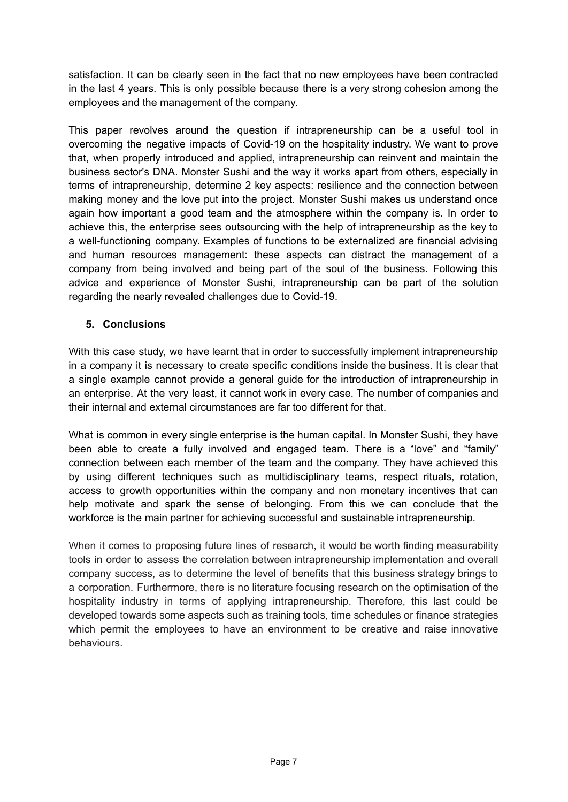satisfaction. It can be clearly seen in the fact that no new employees have been contracted in the last 4 years. This is only possible because there is a very strong cohesion among the employees and the management of the company.

This paper revolves around the question if intrapreneurship can be a useful tool in overcoming the negative impacts of Covid-19 on the hospitality industry. We want to prove that, when properly introduced and applied, intrapreneurship can reinvent and maintain the business sector's DNA. Monster Sushi and the way it works apart from others, especially in terms of intrapreneurship, determine 2 key aspects: resilience and the connection between making money and the love put into the project. Monster Sushi makes us understand once again how important a good team and the atmosphere within the company is. In order to achieve this, the enterprise sees outsourcing with the help of intrapreneurship as the key to a well-functioning company. Examples of functions to be externalized are financial advising and human resources management: these aspects can distract the management of a company from being involved and being part of the soul of the business. Following this advice and experience of Monster Sushi, intrapreneurship can be part of the solution regarding the nearly revealed challenges due to Covid-19.

# <span id="page-7-0"></span>**5. Conclusions**

With this case study, we have learnt that in order to successfully implement intrapreneurship in a company it is necessary to create specific conditions inside the business. It is clear that a single example cannot provide a general guide for the introduction of intrapreneurship in an enterprise. At the very least, it cannot work in every case. The number of companies and their internal and external circumstances are far too different for that.

What is common in every single enterprise is the human capital. In Monster Sushi, they have been able to create a fully involved and engaged team. There is a "love" and "family" connection between each member of the team and the company. They have achieved this by using different techniques such as multidisciplinary teams, respect rituals, rotation, access to growth opportunities within the company and non monetary incentives that can help motivate and spark the sense of belonging. From this we can conclude that the workforce is the main partner for achieving successful and sustainable intrapreneurship.

When it comes to proposing future lines of research, it would be worth finding measurability tools in order to assess the correlation between intrapreneurship implementation and overall company success, as to determine the level of benefits that this business strategy brings to a corporation. Furthermore, there is no literature focusing research on the optimisation of the hospitality industry in terms of applying intrapreneurship. Therefore, this last could be developed towards some aspects such as training tools, time schedules or finance strategies which permit the employees to have an environment to be creative and raise innovative behaviours.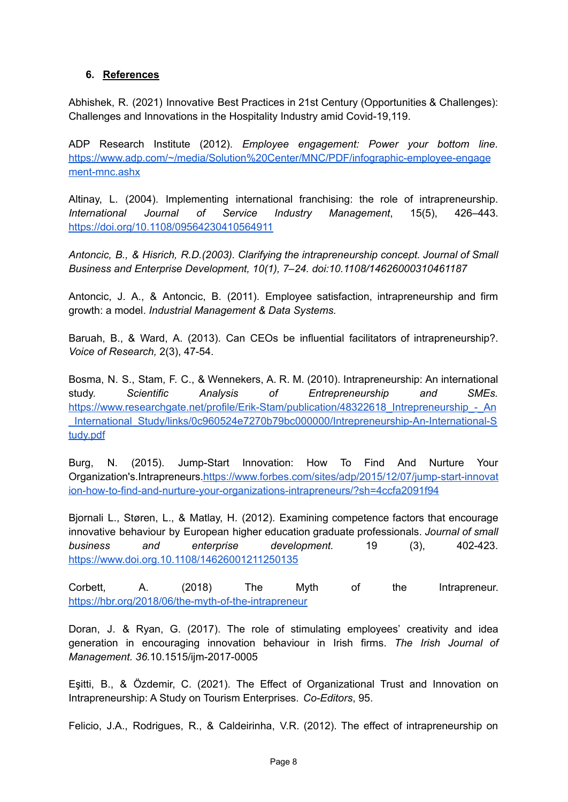#### <span id="page-8-0"></span>**6. References**

Abhishek, R. (2021) Innovative Best Practices in 21st Century (Opportunities & Challenges): Challenges and Innovations in the Hospitality Industry amid Covid-19,119.

ADP Research Institute (2012). *Employee engagement: Power your bottom line*. [https://www.adp.com/~/media/Solution%20Center/MNC/PDF/infographic-employee-engage](https://www.adp.com/~/media/Solution%20Center/MNC/PDF/infographic-employee-engagement-mnc.ashx) [ment-mnc.ashx](https://www.adp.com/~/media/Solution%20Center/MNC/PDF/infographic-employee-engagement-mnc.ashx)

Altinay, L. (2004). Implementing international franchising: the role of intrapreneurship. *International Journal of Service Industry Management*, 15(5), 426–443[.](https://doi.org/10.1108/09564230410564911) <https://doi.org/10.1108/09564230410564911>

*Antoncic, B., & Hisrich, R.D.(2003). Clarifying the intrapreneurship concept. Journal of Small Business and Enterprise Development, 10(1), 7–24. doi:10.1108/14626000310461187*

Antoncic, J. A., & Antoncic, B. (2011). Employee satisfaction, intrapreneurship and firm growth: a model. *Industrial Management & Data Systems.*

Baruah, B., & Ward, A. (2013). Can CEOs be influential facilitators of intrapreneurship?. *Voice of Research,* 2(3), 47-54.

Bosma, N. S., Stam, F. C., & Wennekers, A. R. M. (2010). Intrapreneurship: An international study. *Scientific Analysis of Entrepreneurship and SMEs.* [https://www.researchgate.net/profile/Erik-Stam/publication/48322618\\_Intrepreneurship\\_-\\_An](https://www.researchgate.net/profile/Erik-Stam/publication/48322618_Intrepreneurship_-_An_International_Study/links/0c960524e7270b79bc000000/Intrepreneurship-An-International-Study.pdf) [\\_International\\_Study/links/0c960524e7270b79bc000000/Intrepreneurship-An-International-S](https://www.researchgate.net/profile/Erik-Stam/publication/48322618_Intrepreneurship_-_An_International_Study/links/0c960524e7270b79bc000000/Intrepreneurship-An-International-Study.pdf) [tudy.pdf](https://www.researchgate.net/profile/Erik-Stam/publication/48322618_Intrepreneurship_-_An_International_Study/links/0c960524e7270b79bc000000/Intrepreneurship-An-International-Study.pdf)

Burg, N. (2015). Jump-Start Innovation: How To Find And Nurture Your Organization's.Intrapreneurs[.https://www.forbes.com/sites/adp/2015/12/07/jump-start-innovat](https://www.forbes.com/sites/adp/2015/12/07/jump-start-innovation-how-to-find-and-nurture-your-organizations-intrapreneurs/?sh=4ccfa2091f94) [ion-how-to-find-and-nurture-your-organizations-intrapreneurs/?sh=4ccfa2091f94](https://www.forbes.com/sites/adp/2015/12/07/jump-start-innovation-how-to-find-and-nurture-your-organizations-intrapreneurs/?sh=4ccfa2091f94)

Bjornali L., Støren, L., & Matlay, H. (2012). Examining competence factors that encourage innovative behaviour by European higher education graduate professionals. *Journal of small business and enterprise development.* 19 (3), 402-423. https://www.doi.org.10.1108/14626001211250135

Corbett, A. (2018) The Myth of the Intrapreneur[.](https://hbr.org/2018/06/the-myth-of-the-intrapreneur) <https://hbr.org/2018/06/the-myth-of-the-intrapreneur>

Doran, J. & Ryan, G. (2017). The role of stimulating employees' creativity and idea generation in encouraging innovation behaviour in Irish firms. *The Irish Journal of Management. 36.*10.1515/ijm-2017-0005

Eşitti, B., & Özdemir, C. (2021). The Effect of Organizational Trust and Innovation on Intrapreneurship: A Study on Tourism Enterprises. *Co-Editors*, 95.

Felicio, J.A., Rodrigues, R., & Caldeirinha, V.R. (2012). The effect of intrapreneurship on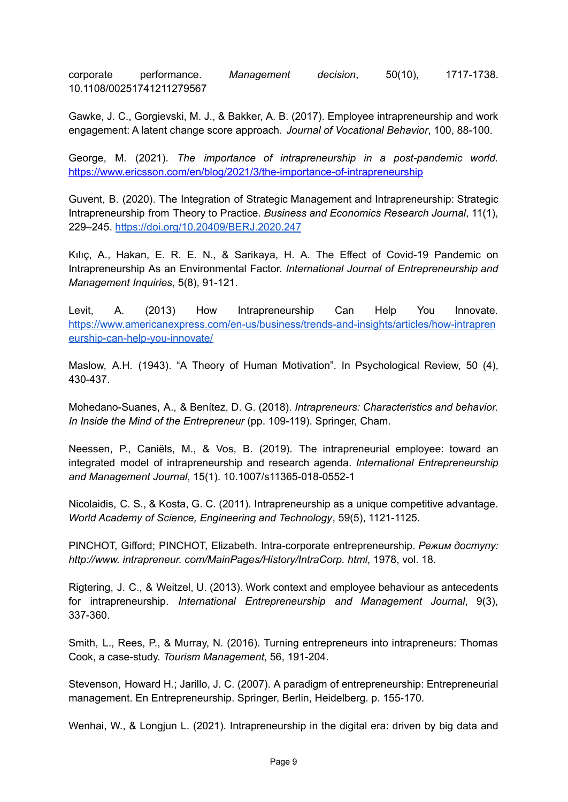corporate performance. *Management decision*, 50(10), 1717-1738. 10.1108/00251741211279567

Gawke, J. C., Gorgievski, M. J., & Bakker, A. B. (2017). Employee intrapreneurship and work engagement: A latent change score approach. *Journal of Vocational Behavior*, 100, 88-100.

George, M. (2021). *The importance of intrapreneurship in a post-pandemic world.* <https://www.ericsson.com/en/blog/2021/3/the-importance-of-intrapreneurship>

Guvent, B. (2020). The Integration of Strategic Management and Intrapreneurship: Strategic Intrapreneurship from Theory to Practice. *Business and Economics Research Journal*, 11(1), 229–245. <https://doi.org/10.20409/BERJ.2020.247>

Kılıç, A., Hakan, E. R. E. N., & Sarikaya, H. A. The Effect of Covid-19 Pandemic on Intrapreneurship As an Environmental Factor. *International Journal of Entrepreneurship and Management Inquiries*, 5(8), 91-121.

Levit, A. (2013) How Intrapreneurship Can Help You Innovate. [https://www.americanexpress.com/en-us/business/trends-and-insights/articles/how-intrapren](https://www.americanexpress.com/en-us/business/trends-and-insights/articles/how-intrapreneurship-can-help-you-innovate/) [eurship-can-help-you-innovate/](https://www.americanexpress.com/en-us/business/trends-and-insights/articles/how-intrapreneurship-can-help-you-innovate/)

Maslow, A.H. (1943). "A Theory of Human Motivation". In Psychological Review, 50 (4), 430-437.

Mohedano-Suanes, A., & Benítez, D. G. (2018). *Intrapreneurs: Characteristics and behavior. In Inside the Mind of the Entrepreneur* (pp. 109-119). Springer, Cham.

Neessen, P., Caniëls, M., & Vos, B. (2019). The intrapreneurial employee: toward an integrated model of intrapreneurship and research agenda. *International Entrepreneurship and Management Journal*, 15(1). 10.1007/s11365-018-0552-1

Nicolaidis, C. S., & Kosta, G. C. (2011). Intrapreneurship as a unique competitive advantage. *World Academy of Science, Engineering and Technology*, 59(5), 1121-1125.

PINCHOT, Gifford; PINCHOT, Elizabeth. Intra-corporate entrepreneurship. *Режим доступу: http://www. intrapreneur. com/MainPages/History/IntraCorp. html*, 1978, vol. 18.

Rigtering, J. C., & Weitzel, U. (2013). Work context and employee behaviour as antecedents for intrapreneurship. *International Entrepreneurship and Management Journal*, 9(3), 337-360.

Smith, L., Rees, P., & Murray, N. (2016). Turning entrepreneurs into intrapreneurs: Thomas Cook, a case-study. *Tourism Management*, 56, 191-204.

Stevenson, Howard H.; Jarillo, J. C. (2007). A paradigm of entrepreneurship: Entrepreneurial management. En Entrepreneurship. Springer, Berlin, Heidelberg. p. 155-170.

Wenhai, W., & Longjun L. (2021). Intrapreneurship in the digital era: driven by big data and